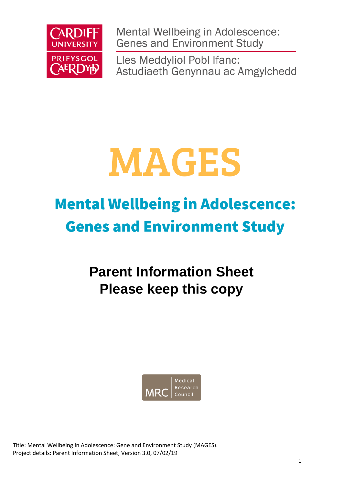

Mental Wellbeing in Adolescence: **Genes and Environment Study** 

Lles Meddyliol Pobl Ifanc: Astudiaeth Genynnau ac Amgylchedd

# **MAGES**

## **Mental Wellbeing in Adolescence: Genes and Environment Study**

### **Parent Information Sheet Please keep this copy**



Title: Mental Wellbeing in Adolescence: Gene and Environment Study (MAGES). Project details: Parent Information Sheet, Version 3.0, 07/02/19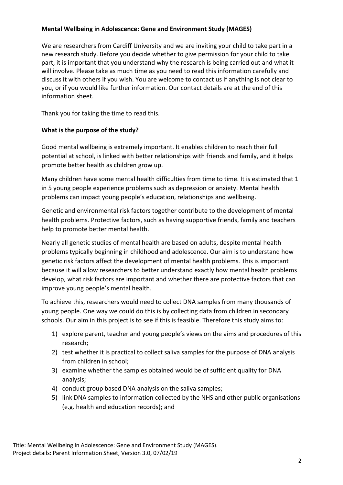#### **Mental Wellbeing in Adolescence: Gene and Environment Study (MAGES)**

We are researchers from Cardiff University and we are inviting your child to take part in a new research study. Before you decide whether to give permission for your child to take part, it is important that you understand why the research is being carried out and what it will involve. Please take as much time as you need to read this information carefully and discuss it with others if you wish. You are welcome to contact us if anything is not clear to you, or if you would like further information. Our contact details are at the end of this information sheet.

Thank you for taking the time to read this.

#### **What is the purpose of the study?**

Good mental wellbeing is extremely important. It enables children to reach their full potential at school, is linked with better relationships with friends and family, and it helps promote better health as children grow up.

Many children have some mental health difficulties from time to time. It is estimated that 1 in 5 young people experience problems such as depression or anxiety. Mental health problems can impact young people's education, relationships and wellbeing.

Genetic and environmental risk factors together contribute to the development of mental health problems. Protective factors, such as having supportive friends, family and teachers help to promote better mental health.

Nearly all genetic studies of mental health are based on adults, despite mental health problems typically beginning in childhood and adolescence. Our aim is to understand how genetic risk factors affect the development of mental health problems. This is important because it will allow researchers to better understand exactly how mental health problems develop, what risk factors are important and whether there are protective factors that can improve young people's mental health.

To achieve this, researchers would need to collect DNA samples from many thousands of young people. One way we could do this is by collecting data from children in secondary schools. Our aim in this project is to see if this is feasible. Therefore this study aims to:

- 1) explore parent, teacher and young people's views on the aims and procedures of this research;
- 2) test whether it is practical to collect saliva samples for the purpose of DNA analysis from children in school;
- 3) examine whether the samples obtained would be of sufficient quality for DNA analysis;
- 4) conduct group based DNA analysis on the saliva samples;
- 5) link DNA samples to information collected by the NHS and other public organisations (e.g. health and education records); and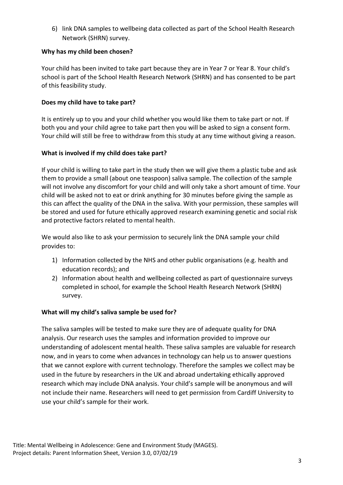6) link DNA samples to wellbeing data collected as part of the School Health Research Network (SHRN) survey.

#### **Why has my child been chosen?**

Your child has been invited to take part because they are in Year 7 or Year 8. Your child's school is part of the School Health Research Network (SHRN) and has consented to be part of this feasibility study.

#### **Does my child have to take part?**

It is entirely up to you and your child whether you would like them to take part or not. If both you and your child agree to take part then you will be asked to sign a consent form. Your child will still be free to withdraw from this study at any time without giving a reason.

#### **What is involved if my child does take part?**

If your child is willing to take part in the study then we will give them a plastic tube and ask them to provide a small (about one teaspoon) saliva sample. The collection of the sample will not involve any discomfort for your child and will only take a short amount of time. Your child will be asked not to eat or drink anything for 30 minutes before giving the sample as this can affect the quality of the DNA in the saliva. With your permission, these samples will be stored and used for future ethically approved research examining genetic and social risk and protective factors related to mental health.

We would also like to ask your permission to securely link the DNA sample your child provides to:

- 1) Information collected by the NHS and other public organisations (e.g. health and education records); and
- 2) Information about health and wellbeing collected as part of questionnaire surveys completed in school, for example the School Health Research Network (SHRN) survey.

#### **What will my child's saliva sample be used for?**

The saliva samples will be tested to make sure they are of adequate quality for DNA analysis. Our research uses the samples and information provided to improve our understanding of adolescent mental health. These saliva samples are valuable for research now, and in years to come when advances in technology can help us to answer questions that we cannot explore with current technology. Therefore the samples we collect may be used in the future by researchers in the UK and abroad undertaking ethically approved research which may include DNA analysis. Your child's sample will be anonymous and will not include their name. Researchers will need to get permission from Cardiff University to use your child's sample for their work.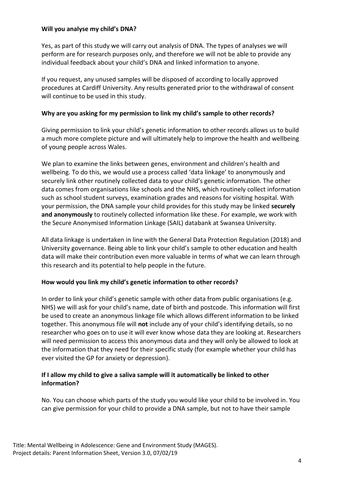#### **Will you analyse my child's DNA?**

Yes, as part of this study we will carry out analysis of DNA. The types of analyses we will perform are for research purposes only, and therefore we will not be able to provide any individual feedback about your child's DNA and linked information to anyone.

If you request, any unused samples will be disposed of according to locally approved procedures at Cardiff University. Any results generated prior to the withdrawal of consent will continue to be used in this study.

#### **Why are you asking for my permission to link my child's sample to other records?**

Giving permission to link your child's genetic information to other records allows us to build a much more complete picture and will ultimately help to improve the health and wellbeing of young people across Wales.

We plan to examine the links between genes, environment and children's health and wellbeing. To do this, we would use a process called 'data linkage' to anonymously and securely link other routinely collected data to your child's genetic information. The other data comes from organisations like schools and the NHS, which routinely collect information such as school student surveys, examination grades and reasons for visiting hospital. With your permission, the DNA sample your child provides for this study may be linked **securely and anonymously** to routinely collected information like these. For example, we work with the Secure Anonymised Information Linkage (SAIL) databank at Swansea University.

All data linkage is undertaken in line with the General Data Protection Regulation (2018) and University governance. Being able to link your child's sample to other education and health data will make their contribution even more valuable in terms of what we can learn through this research and its potential to help people in the future.

#### **How would you link my child's genetic information to other records?**

In order to link your child's genetic sample with other data from public organisations (e.g. NHS) we will ask for your child's name, date of birth and postcode. This information will first be used to create an anonymous linkage file which allows different information to be linked together. This anonymous file will **not** include any of your child's identifying details, so no researcher who goes on to use it will ever know whose data they are looking at. Researchers will need permission to access this anonymous data and they will only be allowed to look at the information that they need for their specific study (for example whether your child has ever visited the GP for anxiety or depression).

#### **If I allow my child to give a saliva sample will it automatically be linked to other information?**

No. You can choose which parts of the study you would like your child to be involved in. You can give permission for your child to provide a DNA sample, but not to have their sample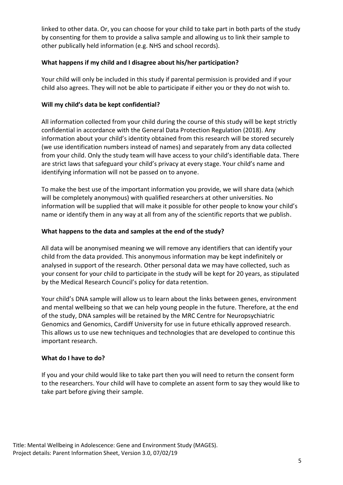linked to other data. Or, you can choose for your child to take part in both parts of the study by consenting for them to provide a saliva sample and allowing us to link their sample to other publically held information (e.g. NHS and school records).

#### **What happens if my child and I disagree about his/her participation?**

Your child will only be included in this study if parental permission is provided and if your child also agrees. They will not be able to participate if either you or they do not wish to.

#### **Will my child's data be kept confidential?**

All information collected from your child during the course of this study will be kept strictly confidential in accordance with the General Data Protection Regulation (2018). Any information about your child's identity obtained from this research will be stored securely (we use identification numbers instead of names) and separately from any data collected from your child. Only the study team will have access to your child's identifiable data. There are strict laws that safeguard your child's privacy at every stage. Your child's name and identifying information will not be passed on to anyone.

To make the best use of the important information you provide, we will share data (which will be completely anonymous) with qualified researchers at other universities. No information will be supplied that will make it possible for other people to know your child's name or identify them in any way at all from any of the scientific reports that we publish.

#### **What happens to the data and samples at the end of the study?**

All data will be anonymised meaning we will remove any identifiers that can identify your child from the data provided. This anonymous information may be kept indefinitely or analysed in support of the research. Other personal data we may have collected, such as your consent for your child to participate in the study will be kept for 20 years, as stipulated by the Medical Research Council's policy for data retention.

Your child's DNA sample will allow us to learn about the links between genes, environment and mental wellbeing so that we can help young people in the future. Therefore, at the end of the study, DNA samples will be retained by the MRC Centre for Neuropsychiatric Genomics and Genomics, Cardiff University for use in future ethically approved research. This allows us to use new techniques and technologies that are developed to continue this important research.

#### **What do I have to do?**

If you and your child would like to take part then you will need to return the consent form to the researchers. Your child will have to complete an assent form to say they would like to take part before giving their sample.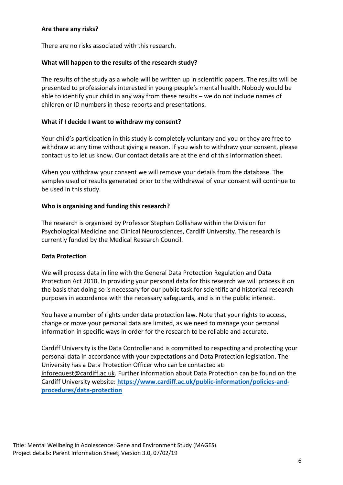#### **Are there any risks?**

There are no risks associated with this research.

#### **What will happen to the results of the research study?**

The results of the study as a whole will be written up in scientific papers. The results will be presented to professionals interested in young people's mental health. Nobody would be able to identify your child in any way from these results – we do not include names of children or ID numbers in these reports and presentations.

#### **What if I decide I want to withdraw my consent?**

Your child's participation in this study is completely voluntary and you or they are free to withdraw at any time without giving a reason. If you wish to withdraw your consent, please contact us to let us know. Our contact details are at the end of this information sheet.

When you withdraw your consent we will remove your details from the database. The samples used or results generated prior to the withdrawal of your consent will continue to be used in this study.

#### **Who is organising and funding this research?**

The research is organised by Professor Stephan Collishaw within the Division for Psychological Medicine and Clinical Neurosciences, Cardiff University. The research is currently funded by the Medical Research Council.

#### **Data Protection**

We will process data in line with the General Data Protection Regulation and Data Protection Act 2018. In providing your personal data for this research we will process it on the basis that doing so is necessary for our public task for scientific and historical research purposes in accordance with the necessary safeguards, and is in the public interest.

You have a number of rights under data protection law. Note that your rights to access, change or move your personal data are limited, as we need to manage your personal information in specific ways in order for the research to be reliable and accurate.

Cardiff University is the Data Controller and is committed to respecting and protecting your personal data in accordance with your expectations and Data Protection legislation. The University has a Data Protection Officer who can be contacted at: inforequest@cardiff.ac.uk. Further information about Data Protection can be found on the Cardiff University website: **[https://www.cardiff.ac.uk/public-information/policies-and](https://www.cardiff.ac.uk/public-information/policies-and-procedures/data-protection)[procedures/data-protection](https://www.cardiff.ac.uk/public-information/policies-and-procedures/data-protection)**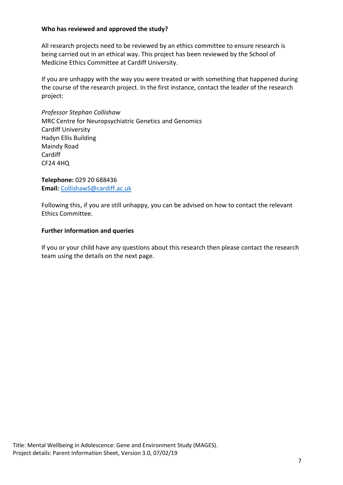#### **Who has reviewed and approved the study?**

All research projects need to be reviewed by an ethics committee to ensure research is being carried out in an ethical way. This project has been reviewed by the School of Medicine Ethics Committee at Cardiff University.

If you are unhappy with the way you were treated or with something that happened during the course of the research project. In the first instance, contact the leader of the research project:

*Professor Stephan Collishaw* MRC Centre for Neuropsychiatric Genetics and Genomics Cardiff University Hadyn Ellis Building Maindy Road **Cardiff** CF24 4HQ

**Telephone:** 029 20 688436 **Email:** CollishawS@cardiff.ac.uk

Following this, if you are still unhappy, you can be advised on how to contact the relevant Ethics Committee.

#### **Further information and queries**

If you or your child have any questions about this research then please contact the research team using the details on the next page.